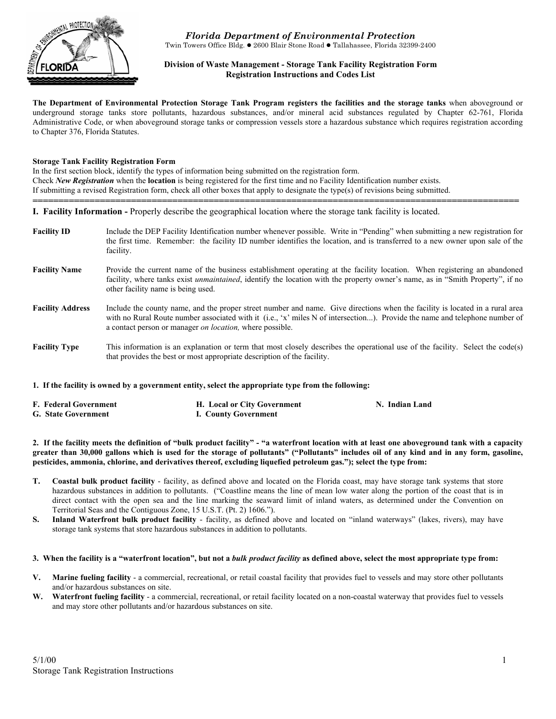

*Florida Department of Environmental Protection* Twin Towers Office Bldg. ● 2600 Blair Stone Road ● Tallahassee, Florida 32399-2400

## **Division of Waste Management - Storage Tank Facility Registration Form Registration Instructions and Codes List**

**The Department of Environmental Protection Storage Tank Program registers the facilities and the storage tanks** when aboveground or underground storage tanks store pollutants, hazardous substances, and/or mineral acid substances regulated by Chapter 62-761, Florida Administrative Code, or when aboveground storage tanks or compression vessels store a hazardous substance which requires registration according to Chapter 376, Florida Statutes.

#### **Storage Tank Facility Registration Form**

In the first section block, identify the types of information being submitted on the registration form. Check *New Registration* when the **location** is being registered for the first time and no Facility Identification number exists. If submitting a revised Registration form, check all other boxes that apply to designate the type(s) of revisions being submitted. **==============================================================================================** 

**I. Facility Information -** Properly describe the geographical location where the storage tank facility is located.

**Facility ID** Include the DEP Facility Identification number whenever possible. Write in "Pending" when submitting a new registration for the first time. Remember: the facility ID number identifies the location, and is transferred to a new owner upon sale of the facility. Facility Name Provide the current name of the business establishment operating at the facility location. When registering an abandoned facility, where tanks exist *unmaintained*, identify the location with the property owner's name, as in "Smith Property", if no other facility name is being used. **Facility Address** Include the county name, and the proper street number and name. Give directions when the facility is located in a rural area with no Rural Route number associated with it (i.e., 'x' miles N of intersection...). Provide the name and telephone number of a contact person or manager *on location,* where possible. **Facility Type** This information is an explanation or term that most closely describes the operational use of the facility. Select the code(s) that provides the best or most appropriate description of the facility.

## **1. If the facility is owned by a government entity, select the appropriate type from the following:**

| <b>F. Federal Government</b> | H. Local or City Government | N. Indian Land |
|------------------------------|-----------------------------|----------------|
| <b>G.</b> State Government   | I. County Government        |                |

**2. If the facility meets the definition of "bulk product facility" - "a waterfront location with at least one aboveground tank with a capacity greater than 30,000 gallons which is used for the storage of pollutants" ("Pollutants" includes oil of any kind and in any form, gasoline, pesticides, ammonia, chlorine, and derivatives thereof, excluding liquefied petroleum gas."); select the type from:** 

- **T. Coastal bulk product facility** facility, as defined above and located on the Florida coast, may have storage tank systems that store hazardous substances in addition to pollutants. ("Coastline means the line of mean low water along the portion of the coast that is in direct contact with the open sea and the line marking the seaward limit of inland waters, as determined under the Convention on Territorial Seas and the Contiguous Zone, 15 U.S.T. (Pt. 2) 1606.").
- **S. Inland Waterfront bulk product facility** facility, as defined above and located on "inland waterways" (lakes, rivers), may have storage tank systems that store hazardous substances in addition to pollutants.

#### **3. When the facility is a "waterfront location", but not a** *bulk product facility* **as defined above, select the most appropriate type from:**

- **V. Marine fueling facility** a commercial, recreational, or retail coastal facility that provides fuel to vessels and may store other pollutants and/or hazardous substances on site.
- **W. Waterfront fueling facility** a commercial, recreational, or retail facility located on a non-coastal waterway that provides fuel to vessels and may store other pollutants and/or hazardous substances on site.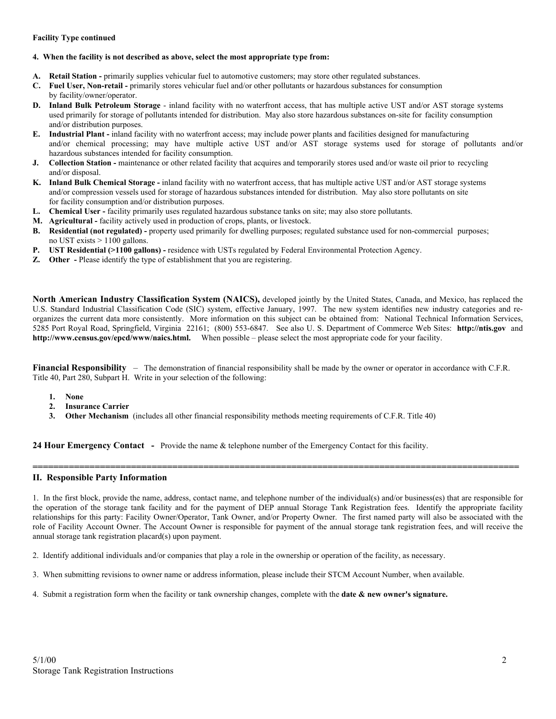### **Facility Type continued**

#### **4. When the facility is not described as above, select the most appropriate type from:**

- A. Retail Station primarily supplies vehicular fuel to automotive customers; may store other regulated substances.
- **C. Fuel User, Non-retail** primarily stores vehicular fuel and/or other pollutants or hazardous substances for consumption by facility/owner/operator.
- **D. Inland Bulk Petroleum Storage**  inland facility with no waterfront access, that has multiple active UST and/or AST storage systems used primarily for storage of pollutants intended for distribution. May also store hazardous substances on-site for facility consumption and/or distribution purposes.
- **E. Industrial Plant -** inland facility with no waterfront access; may include power plants and facilities designed for manufacturing and/or chemical processing; may have multiple active UST and/or AST storage systems used for storage of pollutants and/or hazardous substances intended for facility consumption.
- **J.** Collection Station maintenance or other related facility that acquires and temporarily stores used and/or waste oil prior to recycling and/or disposal.
- **K. Inland Bulk Chemical Storage** inland facility with no waterfront access, that has multiple active UST and/or AST storage systems and/or compression vessels used for storage of hazardous substances intended for distribution. May also store pollutants on site for facility consumption and/or distribution purposes.
- **L. Chemical User** facility primarily uses regulated hazardous substance tanks on site; may also store pollutants.
- **M. Agricultural** facility actively used in production of crops, plants, or livestock.
- **B. Residential (not regulated)** property used primarily for dwelling purposes; regulated substance used for non-commercial purposes; no UST exists > 1100 gallons.
- **P. UST Residential (>1100 gallons)** residence with USTs regulated by Federal Environmental Protection Agency.
- **Z. Other** Please identify the type of establishment that you are registering.

**North American Industry Classification System (NAICS),** developed jointly by the United States, Canada, and Mexico, has replaced the U.S. Standard Industrial Classification Code (SIC) system, effective January, 1997. The new system identifies new industry categories and reorganizes the current data more consistently. More information on this subject can be obtained from: National Technical Information Services, 5285 Port Royal Road, Springfield, Virginia 22161; (800) 553-6847. See also U. S. Department of Commerce Web Sites: **http://ntis.gov** and **http://www.census.gov/epcd/www/naics.html.** When possible – please select the most appropriate code for your facility.

**Financial Responsibility** – The demonstration of financial responsibility shall be made by the owner or operator in accordance with C.F.R. Title 40, Part 280, Subpart H. Write in your selection of the following:

- **1. None**
- **2. Insurance Carrier**
- **3.** Other Mechanism (includes all other financial responsibility methods meeting requirements of C.F.R. Title 40)

**24 Hour Emergency Contact -** Provide the name & telephone number of the Emergency Contact for this facility.

## **II. Responsible Party Information**

1. In the first block, provide the name, address, contact name, and telephone number of the individual(s) and/or business(es) that are responsible for the operation of the storage tank facility and for the payment of DEP annual Storage Tank Registration fees. Identify the appropriate facility relationships for this party: Facility Owner/Operator, Tank Owner, and/or Property Owner. The first named party will also be associated with the role of Facility Account Owner. The Account Owner is responsible for payment of the annual storage tank registration fees, and will receive the annual storage tank registration placard(s) upon payment.

**==============================================================================================** 

2. Identify additional individuals and/or companies that play a role in the ownership or operation of the facility, as necessary.

- 3. When submitting revisions to owner name or address information, please include their STCM Account Number, when available.
- 4. Submit a registration form when the facility or tank ownership changes, complete with the **date & new owner's signature.**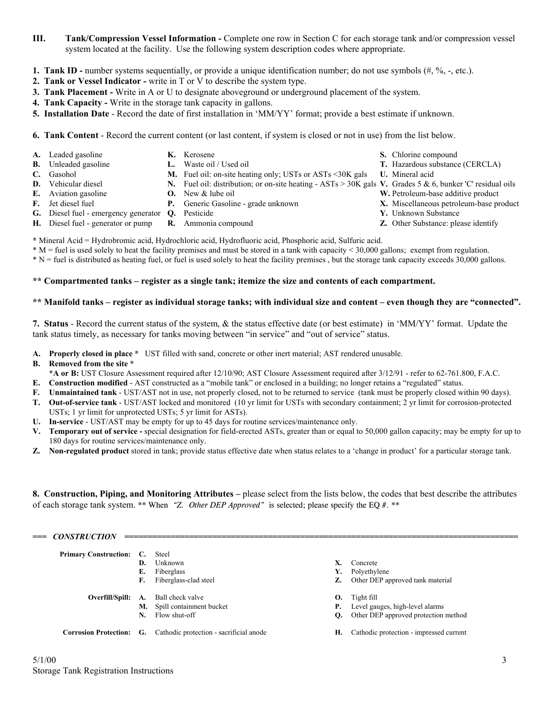- **III. Tank/Compression Vessel Information** Complete one row in Section C for each storage tank and/or compression vessel system located at the facility. Use the following system description codes where appropriate.
- **1. Tank ID -** number systems sequentially, or provide a unique identification number; do not use symbols  $(\#$ ,  $\%$ , -, etc.).
- **2. Tank or Vessel Indicator** write in T or V to describe the system type.
- **3. Tank Placement** Write in A or U to designate aboveground or underground placement of the system.
- **4. Tank Capacity** Write in the storage tank capacity in gallons.
- **5. Installation Date**  Record the date of first installation in 'MM/YY' format; provide a best estimate if unknown.
- **6. Tank Content** Record the current content (or last content, if system is closed or not in use) from the list below.
- **A.** Leaded gasoline **K.** Kerosene **S.** Chlorine compound
	-
- 
- 
- **C.** Gasohol **M.** Fuel oil: on-site heating only; USTs or ASTs <30K gals **U.** Mineral acid
- 
- 
- 
- 
- 
- **G.** Diesel fuel emergency generator **Q.** Pesticide **Y.** Unknown Substance
	-
- **B.** Unleaded gasoline **L.** Waste oil / Used oil **T.** Hazardous substance (CERCLA)
	-
- **D.** Vehicular diesel **N.** Fuel oil: distribution; or on-site heating ASTs > 30K gals **V.** Grades 5 & 6, bunker 'C' residual oils
- **E.** Aviation gasoline **O.** New & lube oil **W.** Petroleum-base additive product
- **F.** Jet diesel fuel **P.** Generic Gasoline grade unknown **X.** Miscellaneous petroleum-base product
	-
- **H.** Diesel fuel generator or pump **R.** Ammonia compound **Z.** Other Substance: please identify

**\*** Mineral Acid = Hydrobromic acid, Hydrochloric acid, Hydrofluoric acid, Phosphoric acid, Sulfuric acid.

\* M = fuel is used solely to heat the facility premises and must be stored in a tank with capacity < 30,000 gallons; exempt from regulation.

\* N = fuel is distributed as heating fuel, or fuel is used solely to heat the facility premises , but the storage tank capacity exceeds 30,000 gallons.

# **\*\* Compartmented tanks – register as a single tank; itemize the size and contents of each compartment.**

## **\*\* Manifold tanks – register as individual storage tanks; with individual size and content – even though they are "connected".**

**7. Status** - Record the current status of the system, & the status effective date (or best estimate) in 'MM/YY' format. Update the tank status timely, as necessary for tanks moving between "in service" and "out of service" status.

**A. Properly closed in place \*** UST filled with sand, concrete or other inert material; AST rendered unusable.

# **B. Removed from the site \***

- **\*A or B:** UST Closure Assessment required after 12/10/90; AST Closure Assessment required after 3/12/91 refer to 62-761.800, F.A.C.
- **E. Construction modified** AST constructed as a "mobile tank" or enclosed in a building; no longer retains a "regulated" status.
- **F. Unmaintained tank** UST/AST not in use, not properly closed, not to be returned to service (tank must be properly closed within 90 days).
- **T. Out-of-service tank** UST/AST locked and monitored (10 yr limit for USTs with secondary containment; 2 yr limit for corrosion-protected USTs; 1 yr limit for unprotected USTs; 5 yr limit for ASTs).
- **U. In-service** UST/AST may be empty for up to 45 days for routine services/maintenance only.
- **V. Temporary out of service** special designation for field-erected ASTs, greater than or equal to 50,000 gallon capacity; may be empty for up to 180 days for routine services/maintenance only.
- **Z. Non-regulated product** stored in tank; provide status effective date when status relates to a 'change in product' for a particular storage tank.

**8. Construction, Piping, and Monitoring Attributes –** please select from the lists below, the codes that best describe the attributes of each storage tank system. \*\* When *"Z. Other DEP Approved"* is selected; please specify the EQ #. \*\*

| $==$ | <b>CONSTRUCTION</b>             |    |                                                                         |    |                                           |
|------|---------------------------------|----|-------------------------------------------------------------------------|----|-------------------------------------------|
|      | <b>Primary Construction: C.</b> |    | Steel                                                                   |    |                                           |
|      |                                 | D. | <b>Unknown</b>                                                          |    | Concrete                                  |
|      |                                 | Е. | Fiberglass                                                              | Y. | Polyethylene                              |
|      |                                 | F. | Fiberglass-clad steel                                                   | Z. | Other DEP approved tank material          |
|      |                                 |    | <b>Overfill/Spill:</b> A. Ball check valve                              |    | $\mathbf{O}$ . Tight fill                 |
|      |                                 |    | M. Spill containment bucket                                             |    | <b>P.</b> Level gauges, high-level alarms |
|      |                                 | N. | Flow shut-off                                                           | О. | Other DEP approved protection method      |
|      |                                 |    | <b>Corrosion Protection:</b> G. Cathodic protection - sacrificial anode | Н. | Cathodic protection - impressed current   |